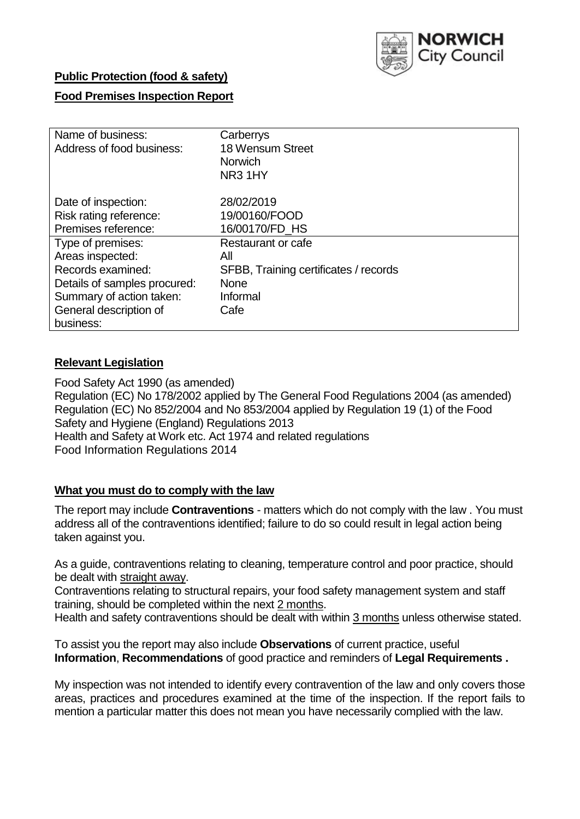

## **Public Protection (food & safety)**

## **Food Premises Inspection Report**

| Name of business:            | Carberrys                             |  |  |  |  |
|------------------------------|---------------------------------------|--|--|--|--|
| Address of food business:    | 18 Wensum Street                      |  |  |  |  |
|                              | <b>Norwich</b>                        |  |  |  |  |
|                              | NR <sub>3</sub> 1HY                   |  |  |  |  |
| Date of inspection:          | 28/02/2019                            |  |  |  |  |
| Risk rating reference:       | 19/00160/FOOD                         |  |  |  |  |
| Premises reference:          | 16/00170/FD HS                        |  |  |  |  |
| Type of premises:            | Restaurant or cafe                    |  |  |  |  |
| Areas inspected:             | All                                   |  |  |  |  |
| Records examined:            | SFBB, Training certificates / records |  |  |  |  |
| Details of samples procured: | <b>None</b>                           |  |  |  |  |
| Summary of action taken:     | Informal                              |  |  |  |  |
| General description of       | Cafe                                  |  |  |  |  |
| business:                    |                                       |  |  |  |  |

## **Relevant Legislation**

Food Safety Act 1990 (as amended) Regulation (EC) No 178/2002 applied by The General Food Regulations 2004 (as amended) Regulation (EC) No 852/2004 and No 853/2004 applied by Regulation 19 (1) of the Food Safety and Hygiene (England) Regulations 2013 Health and Safety at Work etc. Act 1974 and related regulations Food Information Regulations 2014

### **What you must do to comply with the law**

The report may include **Contraventions** - matters which do not comply with the law . You must address all of the contraventions identified; failure to do so could result in legal action being taken against you.

As a guide, contraventions relating to cleaning, temperature control and poor practice, should be dealt with straight away.

Contraventions relating to structural repairs, your food safety management system and staff training, should be completed within the next 2 months.

Health and safety contraventions should be dealt with within 3 months unless otherwise stated.

To assist you the report may also include **Observations** of current practice, useful **Information**, **Recommendations** of good practice and reminders of **Legal Requirements .**

My inspection was not intended to identify every contravention of the law and only covers those areas, practices and procedures examined at the time of the inspection. If the report fails to mention a particular matter this does not mean you have necessarily complied with the law.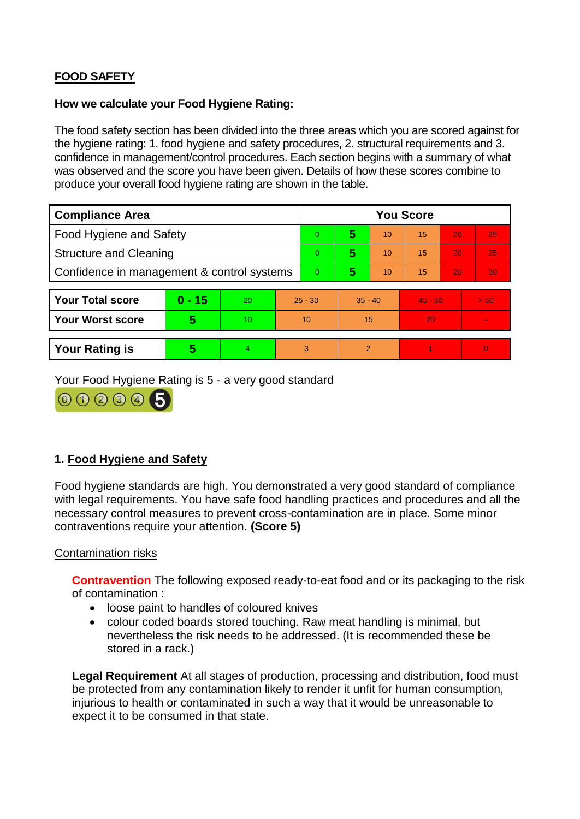# **FOOD SAFETY**

### **How we calculate your Food Hygiene Rating:**

The food safety section has been divided into the three areas which you are scored against for the hygiene rating: 1. food hygiene and safety procedures, 2. structural requirements and 3. confidence in management/control procedures. Each section begins with a summary of what was observed and the score you have been given. Details of how these scores combine to produce your overall food hygiene rating are shown in the table.

| <b>Compliance Area</b>                     |          |    |           | <b>You Score</b> |                |    |           |    |          |  |  |
|--------------------------------------------|----------|----|-----------|------------------|----------------|----|-----------|----|----------|--|--|
| Food Hygiene and Safety                    |          |    |           | $\Omega$         | 5              | 10 | 15        | 20 | 25       |  |  |
| <b>Structure and Cleaning</b>              |          |    | $\Omega$  | 5                | 10             | 15 | 20        | 25 |          |  |  |
| Confidence in management & control systems |          |    | $\Omega$  | 5                | 10             | 15 | 20        | 30 |          |  |  |
|                                            |          |    |           |                  |                |    |           |    |          |  |  |
| <b>Your Total score</b>                    | $0 - 15$ | 20 | $25 - 30$ |                  | $35 - 40$      |    | $45 - 50$ |    | > 50     |  |  |
| <b>Your Worst score</b>                    | 5        | 10 |           | 10               | 15             |    | 20        |    |          |  |  |
|                                            |          |    |           |                  |                |    |           |    |          |  |  |
| <b>Your Rating is</b>                      | 5        | 4  |           | 3                | $\overline{2}$ |    |           |    | $\Omega$ |  |  |

Your Food Hygiene Rating is 5 - a very good standard



## **1. Food Hygiene and Safety**

Food hygiene standards are high. You demonstrated a very good standard of compliance with legal requirements. You have safe food handling practices and procedures and all the necessary control measures to prevent cross-contamination are in place. Some minor contraventions require your attention. **(Score 5)**

### Contamination risks

**Contravention** The following exposed ready-to-eat food and or its packaging to the risk of contamination :

- loose paint to handles of coloured knives
- colour coded boards stored touching. Raw meat handling is minimal, but nevertheless the risk needs to be addressed. (It is recommended these be stored in a rack.)

**Legal Requirement** At all stages of production, processing and distribution, food must be protected from any contamination likely to render it unfit for human consumption, injurious to health or contaminated in such a way that it would be unreasonable to expect it to be consumed in that state.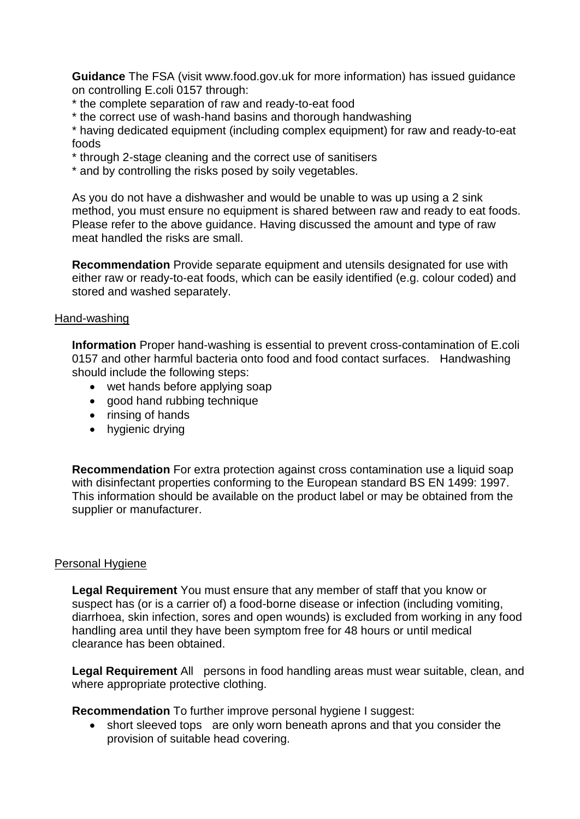**Guidance** The FSA (visit www.food.gov.uk for more information) has issued guidance on controlling E.coli 0157 through:

- \* the complete separation of raw and ready-to-eat food
- \* the correct use of wash-hand basins and thorough handwashing

\* having dedicated equipment (including complex equipment) for raw and ready-to-eat foods

- \* through 2-stage cleaning and the correct use of sanitisers
- \* and by controlling the risks posed by soily vegetables.

As you do not have a dishwasher and would be unable to was up using a 2 sink method, you must ensure no equipment is shared between raw and ready to eat foods. Please refer to the above guidance. Having discussed the amount and type of raw meat handled the risks are small.

**Recommendation** Provide separate equipment and utensils designated for use with either raw or ready-to-eat foods, which can be easily identified (e.g. colour coded) and stored and washed separately.

### Hand-washing

**Information** Proper hand-washing is essential to prevent cross-contamination of E.coli 0157 and other harmful bacteria onto food and food contact surfaces. Handwashing should include the following steps:

- wet hands before applying soap
- good hand rubbing technique
- rinsing of hands
- hygienic drying

**Recommendation** For extra protection against cross contamination use a liquid soap with disinfectant properties conforming to the European standard BS EN 1499: 1997. This information should be available on the product label or may be obtained from the supplier or manufacturer.

### Personal Hygiene

**Legal Requirement** You must ensure that any member of staff that you know or suspect has (or is a carrier of) a food-borne disease or infection (including vomiting, diarrhoea, skin infection, sores and open wounds) is excluded from working in any food handling area until they have been symptom free for 48 hours or until medical clearance has been obtained.

**Legal Requirement** All persons in food handling areas must wear suitable, clean, and where appropriate protective clothing.

**Recommendation** To further improve personal hygiene I suggest:

• short sleeved tops are only worn beneath aprons and that you consider the provision of suitable head covering.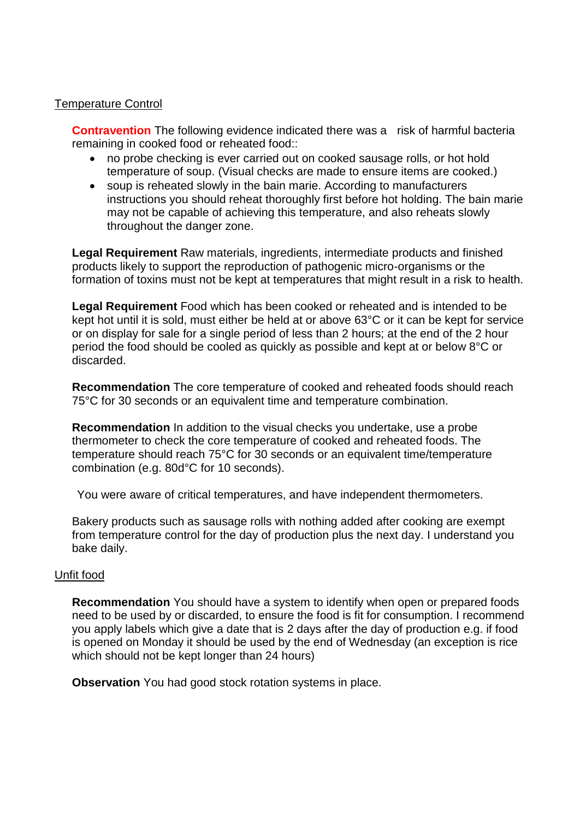### Temperature Control

**Contravention** The following evidence indicated there was a risk of harmful bacteria remaining in cooked food or reheated food::

- no probe checking is ever carried out on cooked sausage rolls, or hot hold temperature of soup. (Visual checks are made to ensure items are cooked.)
- soup is reheated slowly in the bain marie. According to manufacturers instructions you should reheat thoroughly first before hot holding. The bain marie may not be capable of achieving this temperature, and also reheats slowly throughout the danger zone.

**Legal Requirement** Raw materials, ingredients, intermediate products and finished products likely to support the reproduction of pathogenic micro-organisms or the formation of toxins must not be kept at temperatures that might result in a risk to health.

**Legal Requirement** Food which has been cooked or reheated and is intended to be kept hot until it is sold, must either be held at or above 63°C or it can be kept for service or on display for sale for a single period of less than 2 hours; at the end of the 2 hour period the food should be cooled as quickly as possible and kept at or below 8°C or discarded.

**Recommendation** The core temperature of cooked and reheated foods should reach 75°C for 30 seconds or an equivalent time and temperature combination.

**Recommendation** In addition to the visual checks you undertake, use a probe thermometer to check the core temperature of cooked and reheated foods. The temperature should reach 75°C for 30 seconds or an equivalent time/temperature combination (e.g. 80d°C for 10 seconds).

You were aware of critical temperatures, and have independent thermometers.

Bakery products such as sausage rolls with nothing added after cooking are exempt from temperature control for the day of production plus the next day. I understand you bake daily.

### Unfit food

**Recommendation** You should have a system to identify when open or prepared foods need to be used by or discarded, to ensure the food is fit for consumption. I recommend you apply labels which give a date that is 2 days after the day of production e.g. if food is opened on Monday it should be used by the end of Wednesday (an exception is rice which should not be kept longer than 24 hours)

**Observation** You had good stock rotation systems in place.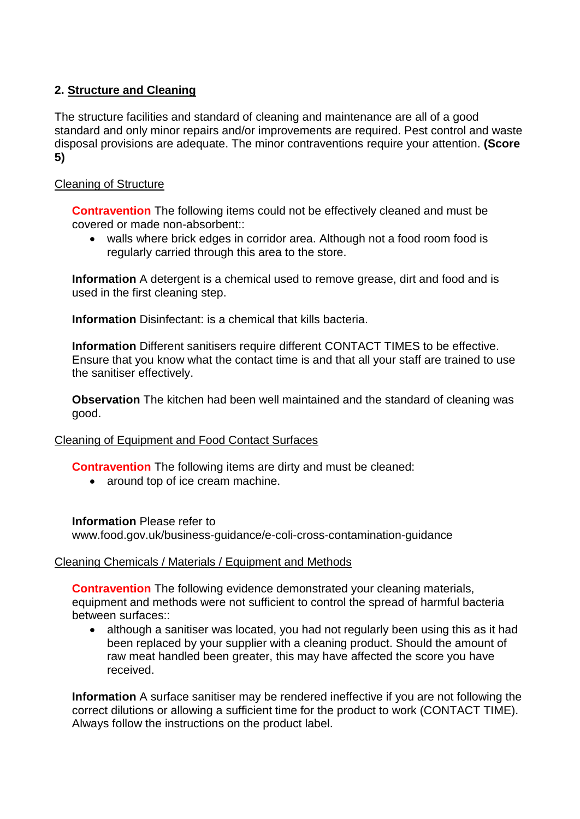# **2. Structure and Cleaning**

The structure facilities and standard of cleaning and maintenance are all of a good standard and only minor repairs and/or improvements are required. Pest control and waste disposal provisions are adequate. The minor contraventions require your attention. **(Score 5)**

## Cleaning of Structure

**Contravention** The following items could not be effectively cleaned and must be covered or made non-absorbent::

 walls where brick edges in corridor area. Although not a food room food is regularly carried through this area to the store.

**Information** A detergent is a chemical used to remove grease, dirt and food and is used in the first cleaning step.

**Information** Disinfectant: is a chemical that kills bacteria.

**Information** Different sanitisers require different CONTACT TIMES to be effective. Ensure that you know what the contact time is and that all your staff are trained to use the sanitiser effectively.

**Observation** The kitchen had been well maintained and the standard of cleaning was good.

### Cleaning of Equipment and Food Contact Surfaces

**Contravention** The following items are dirty and must be cleaned:

• around top of ice cream machine.

### **Information** Please refer to

www.food.gov.uk/business-guidance/e-coli-cross-contamination-guidance

### Cleaning Chemicals / Materials / Equipment and Methods

**Contravention** The following evidence demonstrated your cleaning materials, equipment and methods were not sufficient to control the spread of harmful bacteria between surfaces::

• although a sanitiser was located, you had not regularly been using this as it had been replaced by your supplier with a cleaning product. Should the amount of raw meat handled been greater, this may have affected the score you have received.

**Information** A surface sanitiser may be rendered ineffective if you are not following the correct dilutions or allowing a sufficient time for the product to work (CONTACT TIME). Always follow the instructions on the product label.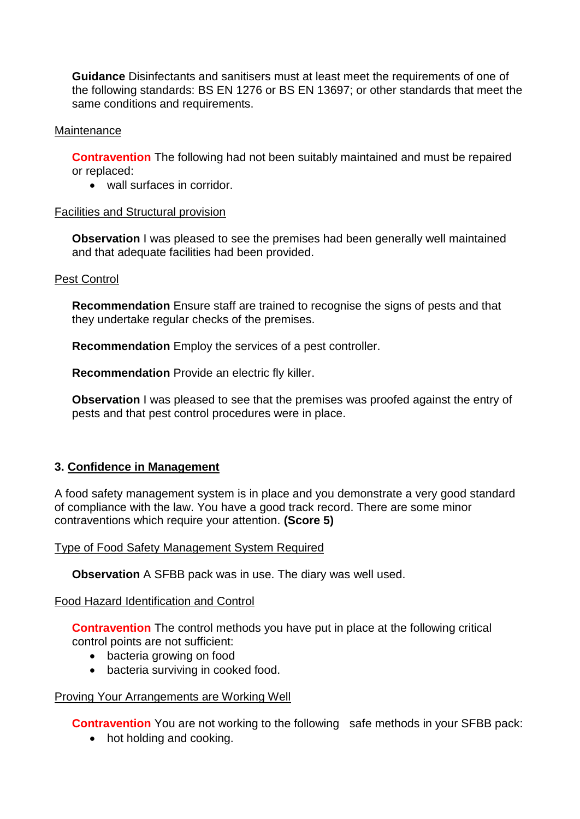**Guidance** Disinfectants and sanitisers must at least meet the requirements of one of the following standards: BS EN 1276 or BS EN 13697; or other standards that meet the same conditions and requirements.

### Maintenance

**Contravention** The following had not been suitably maintained and must be repaired or replaced:

• wall surfaces in corridor.

### Facilities and Structural provision

**Observation I** was pleased to see the premises had been generally well maintained and that adequate facilities had been provided.

### Pest Control

**Recommendation** Ensure staff are trained to recognise the signs of pests and that they undertake regular checks of the premises.

**Recommendation** Employ the services of a pest controller.

**Recommendation** Provide an electric fly killer.

**Observation** I was pleased to see that the premises was proofed against the entry of pests and that pest control procedures were in place.

### **3. Confidence in Management**

A food safety management system is in place and you demonstrate a very good standard of compliance with the law. You have a good track record. There are some minor contraventions which require your attention. **(Score 5)**

#### Type of Food Safety Management System Required

**Observation** A SFBB pack was in use. The diary was well used.

Food Hazard Identification and Control

**Contravention** The control methods you have put in place at the following critical control points are not sufficient:

- bacteria growing on food
- bacteria surviving in cooked food.

#### Proving Your Arrangements are Working Well

**Contravention** You are not working to the following safe methods in your SFBB pack:

• hot holding and cooking.